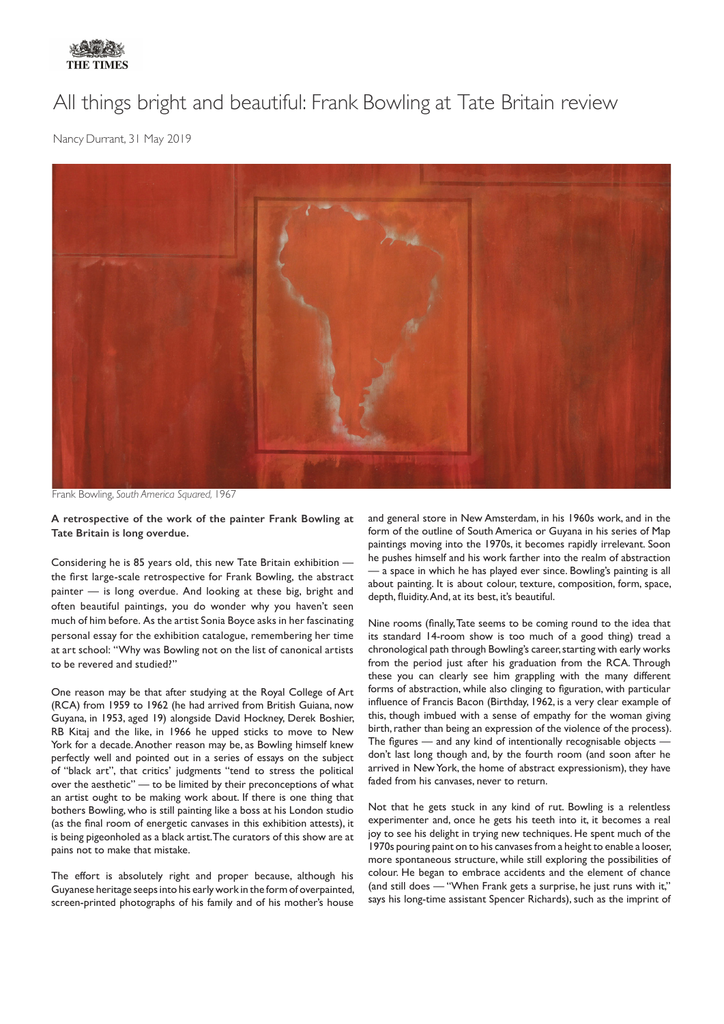

## All things bright and beautiful: Frank Bowling at Tate Britain review

Nancy Durrant, 31 May 2019



Frank Bowling, *South America Squared,* 1967

**A retrospective of the work of the painter Frank Bowling at Tate Britain is long overdue.**

Considering he is 85 years old, this new Tate Britain exhibition the first large-scale retrospective for Frank Bowling, the abstract painter — is long overdue. And looking at these big, bright and often beautiful paintings, you do wonder why you haven't seen much of him before. As the artist Sonia Boyce asks in her fascinating personal essay for the exhibition catalogue, remembering her time at art school: "Why was Bowling not on the list of canonical artists to be revered and studied?"

One reason may be that after studying at the Royal College of Art (RCA) from 1959 to 1962 (he had arrived from British Guiana, now Guyana, in 1953, aged 19) alongside David Hockney, Derek Boshier, RB Kitaj and the like, in 1966 he upped sticks to move to New York for a decade. Another reason may be, as Bowling himself knew perfectly well and pointed out in a series of essays on the subject of "black art", that critics' judgments "tend to stress the political over the aesthetic" — to be limited by their preconceptions of what an artist ought to be making work about. If there is one thing that bothers Bowling, who is still painting like a boss at his London studio (as the final room of energetic canvases in this exhibition attests), it is being pigeonholed as a black artist. The curators of this show are at pains not to make that mistake.

The effort is absolutely right and proper because, although his Guyanese heritage seeps into his early work in the form of overpainted, screen-printed photographs of his family and of his mother's house

and general store in New Amsterdam, in his 1960s work, and in the form of the outline of South America or Guyana in his series of Map paintings moving into the 1970s, it becomes rapidly irrelevant. Soon he pushes himself and his work farther into the realm of abstraction a space in which he has played ever since. Bowling's painting is all about painting. It is about colour, texture, composition, form, space, depth, fluidity. And, at its best, it's beautiful.

Nine rooms (finally, Tate seems to be coming round to the idea that its standard 14-room show is too much of a good thing) tread a chronological path through Bowling's career, starting with early works from the period just after his graduation from the RCA. Through these you can clearly see him grappling with the many different forms of abstraction, while also clinging to figuration, with particular influence of Francis Bacon (Birthday, 1962, is a very clear example of this, though imbued with a sense of empathy for the woman giving birth, rather than being an expression of the violence of the process). The figures — and any kind of intentionally recognisable objects don't last long though and, by the fourth room (and soon after he arrived in New York, the home of abstract expressionism), they have faded from his canvases, never to return.

Not that he gets stuck in any kind of rut. Bowling is a relentless experimenter and, once he gets his teeth into it, it becomes a real joy to see his delight in trying new techniques. He spent much of the 1970s pouring paint on to his canvases from a height to enable a looser, more spontaneous structure, while still exploring the possibilities of colour. He began to embrace accidents and the element of chance (and still does — "When Frank gets a surprise, he just runs with it," says his long-time assistant Spencer Richards), such as the imprint of